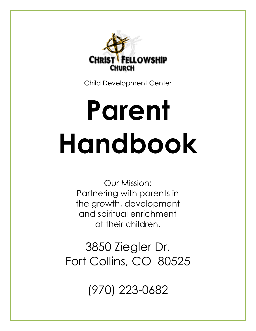

Child Development Center

# **Parent Handbook**

Our Mission: Partnering with parents in the growth, development and spiritual enrichment of their children.

3850 Ziegler Dr. Fort Collins, CO 80525

(970) 223-0682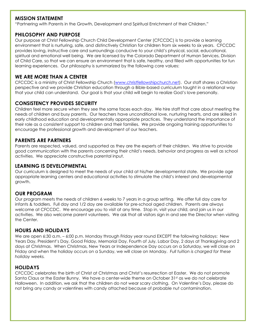### **MISSION STATEMENT**

"Partnering with Parents in the Growth, Development and Spiritual Enrichment of their Children."

### **PHILOSOPHY AND PURPOSE**

Our purpose at Christ Fellowship Church Child Development Center (CFCCDC) is to provide a learning environment that is nurturing, safe, and distinctively Christian for children from six weeks to six years. CFCCDC provides loving, instructive care and surroundings conducive to your child's physical, social, educational, spiritual and emotional well being. We are licensed by the Colorado Department of Human Services, Division of Child Care, so that we can ensure an environment that is safe, healthy, and filled with opportunities for fun learning experiences. Our philosophy is summarized by the following core values:

### **WE ARE MORE THAN A CENTER**

CFCCDC is a ministry of Christ Fellowship Church [\(www.christfellowshipchurch.net\)](http://www.christfellowshipchurch.net/). Our staff shares a Christian perspective and we provide Christian education through a Bible-based curriculum taught in a relational way that your child can understand. Our goal is that your child will begin to realize God's love personally.

### **CONSISTENCY PROVIDES SECURITY**

Children feel more secure when they see the same faces each day. We hire staff that care about meeting the needs of children and busy parents. Our teachers have unconditional love, nurturing hearts, and are skilled in early childhood education and developmentally appropriate practices. They understand the importance of their role as a consistent support to children and their families. We provide ongoing training opportunities to encourage the professional growth and development of our teachers.

### **PARENTS ARE PARTNERS**

Parents are respected, valued, and supported as they are the experts of their children. We strive to provide good communication with the parents concerning their child's needs, behavior and progress as well as school activities. We appreciate constructive parental input.

### **LEARNING IS DEVELOPMENTAL**

Our curriculum is designed to meet the needs of your child at his/her developmental state. We provide age appropriate learning centers and educational activities to stimulate the child's interest and developmental growth.

# **OUR PROGRAM**

Our program meets the needs of children 6 weeks to 7 years in a group setting. We offer full day care for infants & toddlers. Full day and 1/2 day are available for pre-school aged children. Parents are always welcome at CFCCDC. We encourage you to visit at any time. Stop in, visit your child, and join us in our activities. We also welcome parent volunteers. We ask that all visitors sign in and see the Director when visiting the Center.

### **HOURS AND HOLIDAYS**

We are open 6:30 a.m. – 6:00 p.m. Monday through Friday year round EXCEPT the following holidays: New Years Day, President's Day, Good Friday, Memorial Day, Fourth of July, Labor Day, 2 days at Thanksgiving and 2 days at Christmas. When Christmas, New Years or Independence Day occurs on a Saturday, we will close on Friday and when the holiday occurs on a Sunday, we will close on Monday. *Full tuition is charged for these holiday weeks.*

# **HOLIDAYS**

CFCCDC celebrates the birth of Christ at Christmas and Christ's resurrection at Easter. We do not promote Santa Claus or the Easter Bunny. We have a center-wide theme on October 31st as we do not celebrate Halloween. In addition, we ask that the children do not wear scary clothing. On Valentine's Day, please do not bring any candy or valentines with candy attached because of probable nut contamination.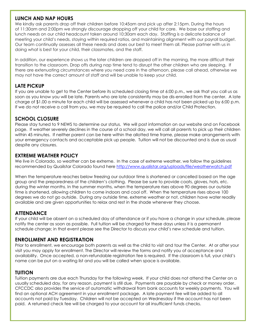### **LUNCH AND NAP HOURS**

We kindly ask parents drop off their children before 10:45am and pick up after 2:15pm. During the hours of 11:30am and 2:00pm we strongly discourage dropping off your child for care. We base our staffing and lunch needs on our child headcount taken around 10:30am each day. Staffing is a delicate balance of meeting your child's needs, staying within required ratios, and maintaining alignment with our payroll budget. Our team continually assesses all these needs and does our best to meet them all. Please partner with us in doing what is best for your child, their classmates, and the staff.

In addition, our experience shows us the later children are dropped off in the morning, the more difficult their transition to the classroom. Drop offs during nap time tend to disrupt the other children who are sleeping. If there are extenuating circumstances where you need care in the afternoon, please call ahead, otherwise we may not have the correct amount of staff and will be unable to keep your child.

# **LATE PICKUP**

If you are unable to get to the Center before its scheduled closing time at 6:00 p.m., we ask that you call us as soon as you know you will be late. Parents who are late consistently may be dis-enrolled from the center. A late charge of \$1.00 a minute for each child will be assessed whenever a child has not been picked up by 6:00 p.m. If we do not receive a call from you, we may be required to call the police and/or Child Protection.

### **SCHOOL CLOSURE**

Please stay tuned to 9 NEWS to determine our status. We will post information on our website and on Facebook page. If weather severely declines in the course of a school day, we will call all parents to pick up their children within 45 minutes. If neither parent can be here within the allotted time frame, please make arrangements with your emergency contacts and acceptable pick up people. Tuition will not be discounted and is due as usual despite any closures.

### **EXTREME WEATHER POLICY**

We live in Colorado, so weather can be extreme. In the case of extreme weather, we follow the guidelines recommended by Quailstar Colorado found here<http://www.qualistar.org/uploads/file/weatherwatch.pdf>

When the temperature reaches below freezing our outdoor time is shortened or cancelled based on the age group and the preparedness of the children's clothing. Please be sure to provide coats, gloves, hats, etc. during the winter months. In the summer months, when the temperature rises above 90 degrees our outside time is shortened, allowing children to come indoors and cool off. When the temperature rises above 100 degrees we do not go outside. During any outside time, extreme weather or not, children have water readily available and are given opportunities to relax and rest in the shade whenever they choose.

# **ATTENDANCE**

If your child will be absent on a scheduled day of attendance or if you have a change in your schedule, please notify the center as soon as possible. Full tuition will be charged for these days unless it is a permanent schedule change; in that event please see the Director to discuss your child's new schedule and tuition.

### **ENROLLMENT AND REGISTRATION**

Prior to enrollment, we encourage both parents as well as the child to visit and tour the Center. At or after your visit you may apply for enrollment. The Director will review the forms and notify you of acceptance and availability. Once accepted, a non-refundable registration fee is required. If the classroom is full, your child's name can be put on a waiting list and you will be called when space is available.

# **TUITION**

Tuition payments are due each Thursday for the following week. If your child does not attend the Center on a usually scheduled day, for any reason, payment is still due. Payments are payable by check or money order. CFCCDC also provides the service of automatic withdrawal from bank accounts for weekly payments. You will find an optional ACH agreement in your enrollment package. A late payment fee will be added to all accounts not paid by Tuesday. Children will not be accepted on Wednesday if the account has not been paid. A returned check fee will be charged to your account for all insufficient funds checks.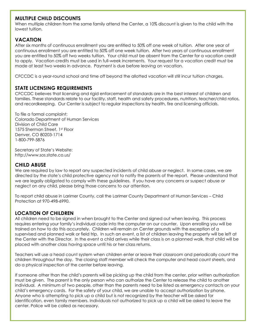# **MULTIPLE CHILD DISCOUNTS**

When multiple children from the same family attend the Center, a 10% discount is given to the child with the lowest tuition.

# **VACATION**

After six months of continuous enrollment you are entitled to 50% off one week of tuition. After one year of continuous enrollment you are entitled to 50% off one week tuition. After two years of continuous enrollment you are entitled to 50% off two weeks tuition. Your child must be absent from the Center for a vacation credit to apply. Vacation credits must be used in full-week increments. Your request for a vacation credit must be made at least two weeks in advance. Payment is due before leaving on vacation.

CFCCDC is a year-round school and time off beyond the allotted vacation will still incur tuition charges.

### **STATE LICENSING REQUIREMENTS**

CFCCDC believes that licensing and rigid enforcement of standards are in the best interest of children and families. These standards relate to our facility, staff, health and safety procedures, nutrition, teacher/child ratios, and recordkeeping. Our Center is subject to regular inspections by health, fire and licensing officials.

To file a formal complaint: Colorado Department of Human Services Division of Child Care 1575 Sherman Street, 1st Floor Denver, CO 80203-1714 1-800-799-5876

Secretary of State's Website: http://www.sos.state.co.us/

### **CHILD ABUSE**

We are required by law to report any suspected incidents of child abuse or neglect. In some cases, we are directed by the state's child protective agency not to notify the parents of the report. Please understand that we are legally obligated to comply with these guidelines. If you have any concerns or suspect abuse or neglect on any child, please bring those concerns to our attention.

To report child abuse in Larimer County, call the Larimer County Department of Human Services – Child Protection at 970-498-6990.

# **LOCATION OF CHILDREN**

All children need to be signed in when brought to the Center and signed out when leaving. This process requires entering your family's individual code into the computer on our counter. Upon enrolling you will be trained on how to do this accurately. Children will remain on Center grounds with the exception of a supervised and planned walk or field trip. In such an event, a list of children leaving the property will be left at the Center with the Director. In the event a child arrives while their class is on a planned walk, that child will be placed with another class having space until his or her class returns.

Teachers will use a head count system when children enter or leave their classroom and periodically count the children throughout the day. The closing staff member will check the computer and head count sheets, and do a physical inspection of the center before leaving.

If someone other than the child's parents will be picking up the child from the center, prior written authorization must be given. The parent is the only person who can authorize the Center to release the child to another individual. A minimum of two people, other than the parents need to be listed as emergency contacts on your child's emergency cards. For the safety of your child, we are unable to accept authorization by phone. Anyone who is attempting to pick up a child but is not recognized by the teacher will be asked for identification, even family members. Individuals not authorized to pick up a child will be asked to leave the center. Police will be called as necessary.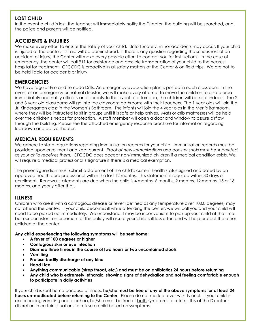# **LOST CHILD**

In the event a child is lost, the teacher will immediately notify the Director, the building will be searched, and the police and parents will be notified.

# **ACCIDENTS & INJURIES**

We make every effort to ensure the safety of your child. Unfortunately, minor accidents may occur. If your child is injured at the center, first aid will be administered. If there is any question regarding the seriousness of an accident or injury, the Center will make every possible effort to contact you for instructions. In the case of emergency, the center will call 911 for assistance and possible transportation of your child to the nearest hospital for treatment. CFCCDC is proactive in all safety matters at the Center & on field trips. We are not to be held liable for accidents or injury.

### **EMERGENCIES**

We have regular Fire and Tornado Drills. An emergency evacuation plan is posted in each classroom. In the event of an emergency or natural disaster, we will make every attempt to move the children to a safe area immediately and notify officials and parents. In the event of a tornado, the children will be kept indoors. The 2 and 3 year old classrooms will go into the classroom bathrooms with their teachers. The 1 year olds will join the Jr. Kindergarten class in the Women's Bathroom. The infants will join the 4 year olds in the Men's Bathroom, where they will be instructed to sit in groups until it is safe or help arrives. Mats or crib mattresses will be held over the children's heads for protection. A staff member will open a door and window to assure airflow through the building. Please see the attached emergency response brochure for information regarding lockdown and active shooter.

# **MEDICAL REQUIREMENTS**

We adhere to state regulations regarding immunization records for your child. Immunization records must be provided upon enrollment and kept current. *Proof of new immunizations and booster shots must be submitted as your child receives them.* CFCCDC does accept non-immunized children if a medical condition exists. We will require a medical professional's signature if there is a medical exemption.

The parent/guardian must submit a statement of the child's current health status signed and dated by an approved health care professional within the last 12 months. This statement is required within 30 days of enrollment. Renewal statements are due when the child is 4 months, 6 months, 9 months, 12 months, 15 or 18 months, and yearly after that.

# **ILLNESS**

Children who are ill with a contagious disease or fever (defined as any temperature over 100.0 degrees) may not attend the center. If your child becomes ill while attending the center, we will call you and your child will need to be picked up immediately. We understand it may be inconvenient to pick up your child at the time, but our consistent enforcement of this policy will assure your child is ill less often and will help protect the other children at the center.

**Any child experiencing the following symptoms will be sent home:**

- **A fever of 100 degrees or higher**
- **Contagious skin or eye infection**
- **Diarrhea three times in the course of two hours or two uncontained stools**
- **Vomiting**
- **Profuse bodily discharge of any kind**
- **Head Lice**
- **Anything communicable (strep throat, etc.) and must be on antibiotics 24 hours before returning**
- **Any child who is extremely lethargic, showing signs of dehydration and not feeling comfortable enough to participate in daily activities**

If your child is sent home because of illness, **he/she must be free of any of the above symptoms for at least 24 hours un-medicated before returning to the Center.** Please do not mask a fever with Tylenol. If your child is experiencing vomiting and diarrhea, he/she must be free of both symptoms to return. It is at the Director's discretion in certain situations to refuse a child based on symptoms.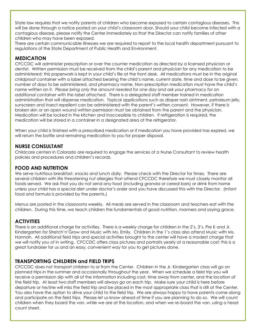State law requires that we notify parents of children who become exposed to certain contagious diseases. This will be done through a notice posted on your child's classroom door. Should your child become infected with a contagious disease, please notify the Center immediately so that the Director can notify families of other children who may have been exposed.

There are certain communicable illnesses we are required to report to the local health department pursuant to regulations of the State Department of Public Health and Environment.

# **MEDICATION**

CFCCDC will administer prescription or over the counter medication as directed by a licensed physician or dentist. Written permission must be received from the child's parent and physician for any medication to be administered; this paperwork is kept in your child's file at the front desk. All medications must be in the original childproof container with a label attached bearing the child's name, current date, time and dose to be given, number of days to be administered, and pharmacy name. Non-prescription medication must have the child's name written on it. *Please bring only the amount needed for one day and ask your pharmacy for an additional container with the label attached.* There is a delegated staff member trained in medication administration that will dispense medication. Topical applications such as diaper rash ointment, petroleum jelly, sunscreen and insect repellent can be administered with the parent's written consent. However, if there is broken skin or an open wound written permission must be obtained from the parent and the physician. Medication will be locked in the kitchen and inaccessible to children. If refrigeration is required, the medication will be stored in a container in a designated area of the refrigerator.

When your child is finished with a prescribed medication or if medication you have provided has expired, we will return the bottle and remaining medication to you for proper disposal.

### **NURSE CONSULTANT**

Childcare centers in Colorado are required to engage the services of a Nurse Consultant to review health policies and procedures and children's records.

# **FOOD AND NUTRITION**

We serve nutritious breakfast, snacks and lunch daily. Please check with the Director for times. There are several children with life threatening nut allergies that attend CFCCDC therefore we must closely monitor all foods served. We ask that you do not send any food (including granola or cereal bars) or drink from home unless your child has a special diet under doctor's order and you have discussed this with the Director. (Infant food and formula is provided by the parents.)

Menus are posted in the classrooms weekly. All meals are served in the classroom and teachers eat with the children. During this time, we teach children the fundamentals of good nutrition, manners and saying grace.

# **ACTIVITIES**

There is an additional charge for activities. There is a weekly charge for children in the 2's, 3's, Pre K and Jr. Kindergarten for Stretch'n'Grow and Music with Ms. Emily. Children in the 1's class also attend Music with Ms. Hannah. All additional field trips and special activities brought to the center will have a modest charge that we will notify you of in writing. CFCCDC offers class pictures and portraits yearly at a reasonable cost; this is a great fundraiser for us and an easy, convenient way for you to get pictures done.

### **TRANSPORTING CHILDREN and FIELD TRIPS**

CFCCDC does not transport children to or from the Center. Children in the Jr. Kindergarten class will go on planned trips in the summer and occasionally throughout the year. When we schedule a field trip you will receive a permission slip with all of the information including cost, time away from center, and the location of the field trip. At least two staff members will always go on each trip. Make sure your child is here before departure or he/she will miss the field trip and be placed in the most appropriate class that is still at the Center. You also have the option to drive your child to the field trip. We are always happy to have parents come along and participate on the field trips. Please let us know ahead of time if you are planning to do so. We will count children when they board the van, while we are at the location, and when we re-board the van, using a head count sheet.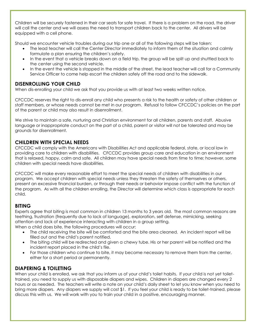Children will be securely fastened in their car seats for safe travel. If there is a problem on the road, the driver will call the center and we will assess the need to transport children back to the center. All drivers will be equipped with a cell phone.

Should we encounter vehicle troubles during our trip one or all of the following steps will be taken:

- The lead teacher will call the Center Director immediately to inform them of the situation and calmly formulate a plan ensuring the children's safety.
- In the event that a vehicle breaks down on a field trip, the group will be split up and shuttled back to the center using the second vehicle.
- In the event the vehicle is stopped in the middle of the street, the lead teacher will call for a Community Service Officer to come help escort the children safely off the road and to the sidewalk.

# **DISENROLLING YOUR CHILD**

When dis-enrolling your child we ask that you provide us with at least two weeks written notice.

CFCCDC reserves the right to dis-enroll any child who presents a risk to the health or safety of other children or staff members, or whose needs cannot be met in our program. Refusal to follow CFCCDC's policies on the part of the parent or child may also result in disenrollment.

We strive to maintain a safe, nurturing and Christian environment for all children, parents and staff. Abusive language or inappropriate conduct on the part of a child, parent or visitor will not be tolerated and may be grounds for disenrollment.

# **CHILDREN WITH SPECIAL NEEDS**

CFCCDC will comply with the Americans with Disabilities Act and applicable federal, state, or local law in providing care to children with disabilities. CFCCDC provides group care and education in an environment that is relaxed, happy, calm and safe. All children may have special needs from time to time; however, some children with special needs have disabilities.

CFCCDC will make every reasonable effort to meet the special needs of children with disabilities in our program. We accept children with special needs unless they threaten the safety of themselves or others, present an excessive financial burden, or through their needs or behavior impose conflict with the function of the program. As with all the children enrolling, the Director will determine which class is appropriate for each child.

# **BITING**

Experts agree that biting is most common in children 13 months to 3 years old. The most common reasons are teething, frustration (frequently due to lack of language), exploration, self defense, mimicking, seeking attention and lack of experience interacting with children in a group setting.

When a child does bite, the following procedures will occur:

- The child receiving the bite will be comforted and the bite area cleaned. An incident report will be filled out and the child's parent notified.
- The biting child will be redirected and given a chewy tube. His or her parent will be notified and the incident report placed in the child's file.
- For those children who continue to bite, it may become necessary to remove them from the center, either for a short period or permanently.

# **DIAPERING & TOILETING**

When your child is enrolled, we ask that you inform us of your child's toilet habits. If your child is not yet toilettrained, you need to supply us with disposable diapers and wipes. Children in diapers are changed every 2 hours or as needed. The teachers will write a note on your child's daily sheet to let you know when you need to bring more diapers. Any diapers we supply will cost \$1. If you feel your child is ready to be toilet-trained, please discuss this with us. We will work with you to train your child in a positive, encouraging manner.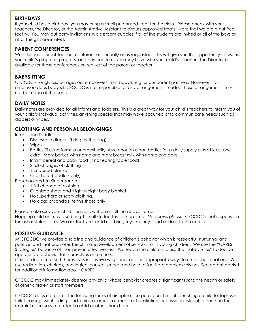# **BIRTHDAYS**

If your child has a birthday, you may bring a small purchased treat for the class. Please check with your teachers, the Director, or the Administrative Assistant to discuss approved treats. Note that we are a nut free facility. You may put party invitations in classroom cubbies if all of the students are invited or all of the boys or all of the girls are invited.

# **PARENT CONFERENCES**

We schedule parent-teacher conferences annually or as requested. This will give you the opportunity to discuss your child's program, progress, and any concerns you may have with your child's teacher. The Director is available for these conferences on request of the parent or teacher.

# **BABYSITTING**

CFCCDC strongly discourages our employees from babysitting for our parent partners. However, if an employee does baby-sit, CFCCDC is not responsible for any arrangements made. These arrangements must not be made at the center.

# **DAILY NOTES**

Daily notes are provided for all infants and toddlers. This is a great way for your child's teachers to inform you of your child's individual activities, anything special that may have occurred or to communicate needs such as diapers or wipes.

# **CLOTHING AND PERSONAL BELONGINGS**

Infants and Toddlers

- Disposable diapers (bring by the bag)
- Wipes
- Bottles (if using formula or breast milk, have enough clean bottles for a daily supply plus at least one extra. Mark bottles with name and mark breast milk with name and date.
- Infant cereal and baby food (if not eating table food)
- 2 full changes of clothing
- 1 crib sized blanket
- Crib sheet (toddlers only)
- Preschool and Jr. Kindergarten
	- 1 full change of clothing
	- Crib sized sheet and 1light weight baby blanket
	- No superhero or scary clothing.
	- No clogs or sandals; tennis shoes only

Please make sure your child's name is written on all the above items.

Napping children may also bring 1 small stuffed toy for nap time. *No pillows please.* CFCCDC is not responsible for lost or stolen items. We ask that your child not bring toys, money, food or drink to the center.

# **POSITIVE GUIDANCE**

At CFCCDC we provide discipline and guidance of children's behavior which is respectful, nurturing, and positive, and that promotes the ultimate development of self-control in young children. We use the "CARES Strategies" because of their proven effectiveness. We teach the children to use the "safety rules" to decide appropriate behavior for themselves and others.

Children learn to assert themselves in positive ways and react in appropriate ways to emotional situations. We use redirection, choices, and logical consequences, and help to facilitate problem solving. See parent packet for additional information about CARES.

CFCCDC may immediately disenroll any child whose behavior creates a significant risk to the health or safety of other children or staff members.

CFCCDC does not permit the following forms of discipline: corporal punishment; punishing a child for lapses in toilet-training; withholding food; ridicule, embarrassment, or humiliation; or physical restraint, other than the restraint necessary to protect a child or others from harm.